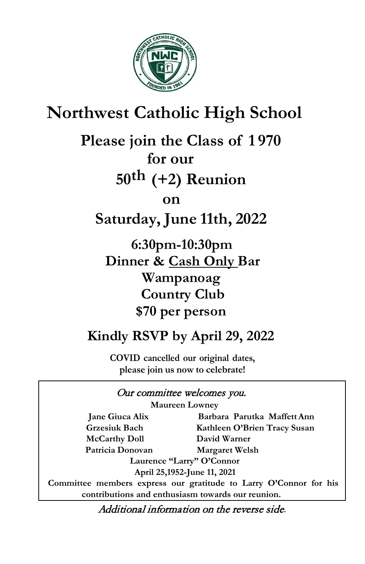

## **Northwest Catholic High School**

**Please join the Class of 1 970 for our**

**50th (+2) Reunion**

 **on**

**Saturday, June 11th, 2022**

 **6:30pm-10:30pm Dinner & Cash Only Bar Wampanoag Country Club \$70 per person**

## **Kindly RSVP by April 29, 2022**

**COVID cancelled our original dates, please join us now to celebrate!**

## Our committee welcomes you.

**Maureen Lowney**

**McCarthy Doll David Warner Patricia Donovan Margaret Welsh** 

**Jane Giuca Alix Barbara Parutka MaffettAnn Grzesiuk Bach Kathleen O'Brien Tracy Susan** 

> **Laurence "Larry" O'Connor April 25,1952-June 11, 2021**

**Committee members express our gratitude to Larry O'Connor for his contributions and enthusiasm towards our reunion.**

Additional information on the reverse side.